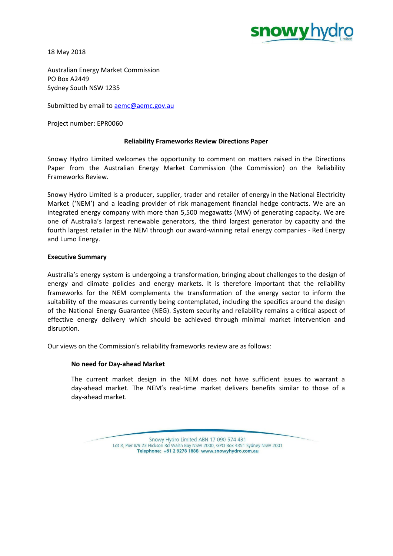

18 May 2018

Australian Energy Market Commission PO Box A2449 Sydney South NSW 1235

Submitted by email to **[aemc@aemc.gov.au](mailto:aemc@aemc.gov.au)** 

Project number: EPR0060

# **Reliability Frameworks Review Directions Paper**

Snowy Hydro Limited welcomes the opportunity to comment on matters raised in the Directions Paper from the Australian Energy Market Commission (the Commission) on the Reliability Frameworks Review.

Snowy Hydro Limited is a producer, supplier, trader and retailer of energy in the National Electricity Market ('NEM') and a leading provider of risk management financial hedge contracts. We are an integrated energy company with more than 5,500 megawatts (MW) of generating capacity. We are one of Australia's largest renewable generators, the third largest generator by capacity and the fourth largest retailer in the NEM through our award-winning retail energy companies - Red Energy and Lumo Energy.

# **Executive Summary**

Australia's energy system is undergoing a transformation, bringing about challenges to the design of energy and climate policies and energy markets. It is therefore important that the reliability frameworks for the NEM complements the transformation of the energy sector to inform the suitability of the measures currently being contemplated, including the specifics around the design of the National Energy Guarantee (NEG). System security and reliability remains a critical aspect of effective energy delivery which should be achieved through minimal market intervention and disruption.

Our views on the Commission's reliability frameworks review are as follows:

# **No need for Day-ahead Market**

The current market design in the NEM does not have sufficient issues to warrant a day-ahead market. The NEM's real-time market delivers benefits similar to those of a day-ahead market.

> Snowy Hydro Limited ABN 17 090 574 431 Lot 3, Pier 8/9 23 Hickson Rd Walsh Bay NSW 2000, GPO Box 4351 Sydney NSW 2001 Telephone: +61 2 9278 1888 www.snowyhydro.com.au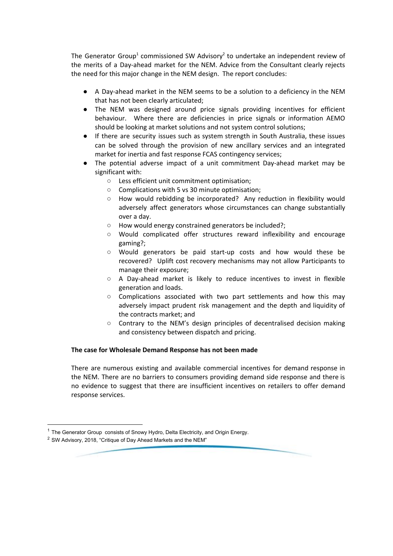The Generator Group<sup>1</sup> commissioned SW Advisory<sup>2</sup> to undertake an independent review of the merits of a Day-ahead market for the NEM. Advice from the Consultant clearly rejects the need for this major change in the NEM design. The report concludes:

- A Day-ahead market in the NEM seems to be a solution to a deficiency in the NEM that has not been clearly articulated;
- The NEM was designed around price signals providing incentives for efficient behaviour. Where there are deficiencies in price signals or information AEMO should be looking at market solutions and not system control solutions;
- If there are security issues such as system strength in South Australia, these issues can be solved through the provision of new ancillary services and an integrated market for inertia and fast response FCAS contingency services;
- The potential adverse impact of a unit commitment Day-ahead market may be significant with:
	- Less efficient unit commitment optimisation;
	- Complications with 5 vs 30 minute optimisation;
	- How would rebidding be incorporated? Any reduction in flexibility would adversely affect generators whose circumstances can change substantially over a day.
	- How would energy constrained generators be included?;
	- Would complicated offer structures reward inflexibility and encourage gaming?;
	- Would generators be paid start-up costs and how would these be recovered? Uplift cost recovery mechanisms may not allow Participants to manage their exposure;
	- A Day-ahead market is likely to reduce incentives to invest in flexible generation and loads.
	- $\circ$  Complications associated with two part settlements and how this may adversely impact prudent risk management and the depth and liquidity of the contracts market; and
	- Contrary to the NEM's design principles of decentralised decision making and consistency between dispatch and pricing.

# **The case for Wholesale Demand Response has not been made**

There are numerous existing and available commercial incentives for demand response in the NEM. There are no barriers to consumers providing demand side response and there is no evidence to suggest that there are insufficient incentives on retailers to offer demand response services.

 $1$  The Generator Group consists of Snowy Hydro, Delta Electricity, and Origin Energy.

<sup>2</sup> SW Advisory, 2018, "Critique of Day Ahead Markets and the NEM"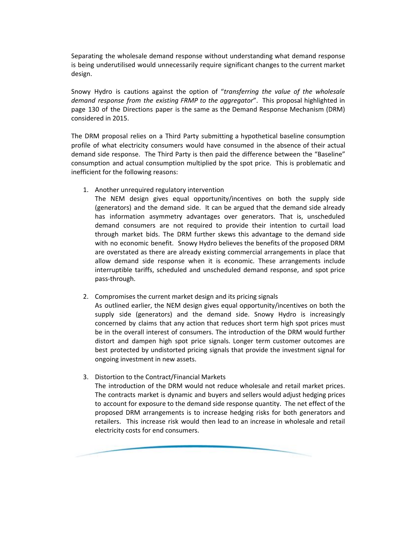Separating the wholesale demand response without understanding what demand response is being underutilised would unnecessarily require significant changes to the current market design.

Snowy Hydro is cautions against the option of "*transferring the value of the wholesale demand response from the existing FRMP to the aggregator*". This proposal highlighted in page 130 of the Directions paper is the same as the Demand Response Mechanism (DRM) considered in 2015.

The DRM proposal relies on a Third Party submitting a hypothetical baseline consumption profile of what electricity consumers would have consumed in the absence of their actual demand side response. The Third Party is then paid the difference between the "Baseline" consumption and actual consumption multiplied by the spot price. This is problematic and inefficient for the following reasons:

1. Another unrequired regulatory intervention

The NEM design gives equal opportunity/incentives on both the supply side (generators) and the demand side. It can be argued that the demand side already has information asymmetry advantages over generators. That is, unscheduled demand consumers are not required to provide their intention to curtail load through market bids. The DRM further skews this advantage to the demand side with no economic benefit. Snowy Hydro believes the benefits of the proposed DRM are overstated as there are already existing commercial arrangements in place that allow demand side response when it is economic. These arrangements include interruptible tariffs, scheduled and unscheduled demand response, and spot price pass-through.

2. Compromises the current market design and its pricing signals

As outlined earlier, the NEM design gives equal opportunity/incentives on both the supply side (generators) and the demand side. Snowy Hydro is increasingly concerned by claims that any action that reduces short term high spot prices must be in the overall interest of consumers. The introduction of the DRM would further distort and dampen high spot price signals. Longer term customer outcomes are best protected by undistorted pricing signals that provide the investment signal for ongoing investment in new assets.

3. Distortion to the Contract/Financial Markets

The introduction of the DRM would not reduce wholesale and retail market prices. The contracts market is dynamic and buyers and sellers would adjust hedging prices to account for exposure to the demand side response quantity. The net effect of the proposed DRM arrangements is to increase hedging risks for both generators and retailers. This increase risk would then lead to an increase in wholesale and retail electricity costs for end consumers.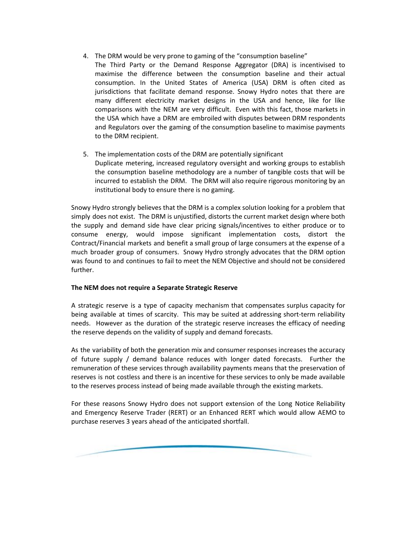- 4. The DRM would be very prone to gaming of the "consumption baseline"
- The Third Party or the Demand Response Aggregator (DRA) is incentivised to maximise the difference between the consumption baseline and their actual consumption. In the United States of America (USA) DRM is often cited as jurisdictions that facilitate demand response. Snowy Hydro notes that there are many different electricity market designs in the USA and hence, like for like comparisons with the NEM are very difficult. Even with this fact, those markets in the USA which have a DRM are embroiled with disputes between DRM respondents and Regulators over the gaming of the consumption baseline to maximise payments to the DRM recipient.
- 5. The implementation costs of the DRM are potentially significant Duplicate metering, increased regulatory oversight and working groups to establish the consumption baseline methodology are a number of tangible costs that will be incurred to establish the DRM. The DRM will also require rigorous monitoring by an institutional body to ensure there is no gaming.

Snowy Hydro strongly believes that the DRM is a complex solution looking for a problem that simply does not exist. The DRM is unjustified, distorts the current market design where both the supply and demand side have clear pricing signals/incentives to either produce or to consume energy, would impose significant implementation costs, distort the Contract/Financial markets and benefit a small group of large consumers at the expense of a much broader group of consumers. Snowy Hydro strongly advocates that the DRM option was found to and continues to fail to meet the NEM Objective and should not be considered further.

# **The NEM does not require a Separate Strategic Reserve**

A strategic reserve is a type of capacity mechanism that compensates surplus capacity for being available at times of scarcity. This may be suited at addressing short-term reliability needs. However as the duration of the strategic reserve increases the efficacy of needing the reserve depends on the validity of supply and demand forecasts.

As the variability of both the generation mix and consumer responses increases the accuracy of future supply / demand balance reduces with longer dated forecasts. Further the remuneration of these services through availability payments means that the preservation of reserves is not costless and there is an incentive for these services to only be made available to the reserves process instead of being made available through the existing markets.

For these reasons Snowy Hydro does not support extension of the Long Notice Reliability and Emergency Reserve Trader (RERT) or an Enhanced RERT which would allow AEMO to purchase reserves 3 years ahead of the anticipated shortfall.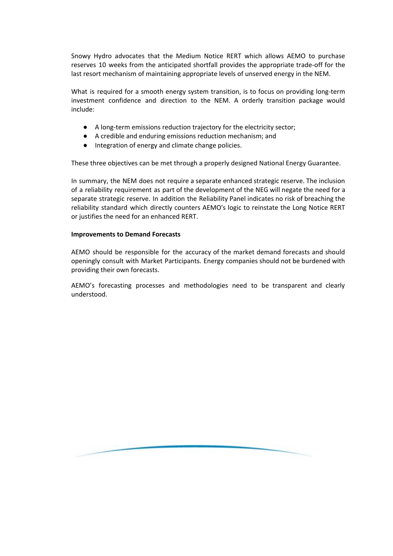Snowy Hydro advocates that the Medium Notice RERT which allows AEMO to purchase reserves 10 weeks from the anticipated shortfall provides the appropriate trade-off for the last resort mechanism of maintaining appropriate levels of unserved energy in the NEM.

What is required for a smooth energy system transition, is to focus on providing long-term investment confidence and direction to the NEM. A orderly transition package would include:

- A long-term emissions reduction trajectory for the electricity sector;
- A credible and enduring emissions reduction mechanism; and
- Integration of energy and climate change policies.

These three objectives can be met through a properly designed National Energy Guarantee.

In summary, the NEM does not require a separate enhanced strategic reserve. The inclusion of a reliability requirement as part of the development of the NEG will negate the need for a separate strategic reserve. In addition the Reliability Panel indicates no risk of breaching the reliability standard which directly counters AEMO's logic to reinstate the Long Notice RERT or justifies the need for an enhanced RERT.

#### **Improvements to Demand Forecasts**

AEMO should be responsible for the accuracy of the market demand forecasts and should openingly consult with Market Participants. Energy companies should not be burdened with providing their own forecasts.

AEMO's forecasting processes and methodologies need to be transparent and clearly understood.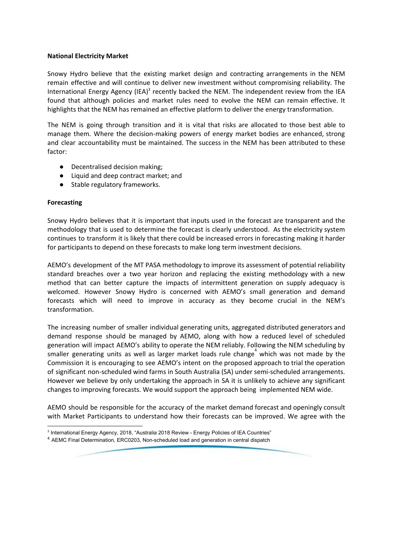#### **National Electricity Market**

Snowy Hydro believe that the existing market design and contracting arrangements in the NEM remain effective and will continue to deliver new investment without compromising reliability. The International Energy Agency (IEA)<sup>3</sup> recently backed the NEM. The independent review from the IEA found that although policies and market rules need to evolve the NEM can remain effective. It highlights that the NEM has remained an effective platform to deliver the energy transformation.

The NEM is going through transition and it is vital that risks are allocated to those best able to manage them. Where the decision-making powers of energy market bodies are enhanced, strong and clear accountability must be maintained. The success in the NEM has been attributed to these factor:

- Decentralised decision making;
- Liquid and deep contract market; and
- Stable regulatory frameworks.

# **Forecasting**

Snowy Hydro believes that it is important that inputs used in the forecast are transparent and the methodology that is used to determine the forecast is clearly understood. As the electricity system continues to transform it is likely that there could be increased errors in forecasting making it harder for participants to depend on these forecasts to make long term investment decisions.

AEMO's development of the MT PASA methodology to improve its assessment of potential reliability standard breaches over a two year horizon and replacing the existing methodology with a new method that can better capture the impacts of intermittent generation on supply adequacy is welcomed. However Snowy Hydro is concerned with AEMO's small generation and demand forecasts which will need to improve in accuracy as they become crucial in the NEM's transformation.

The increasing number of smaller individual generating units, aggregated distributed generators and demand response should be managed by AEMO, along with how a reduced level of scheduled generation will impact AEMO's ability to operate the NEM reliably. Following the NEM scheduling by smaller generating units as well as larger market loads rule change which was not made by the Commission it is encouraging to see AEMO's intent on the proposed approach to trial the operation of significant non-scheduled wind farms in South Australia (SA) under semi-scheduled arrangements. However we believe by only undertaking the approach in SA it is unlikely to achieve any significant changes to improving forecasts. We would support the approach being implemented NEM wide.

AEMO should be responsible for the accuracy of the market demand forecast and openingly consult with Market Participants to understand how their forecasts can be improved. We agree with the

<sup>3</sup> International Energy Agency, 2018, "Australia 2018 Review - Energy Policies of IEA Countries"

<sup>4</sup> AEMC Final Determination, ERC0203, Non-scheduled load and generation in central dispatch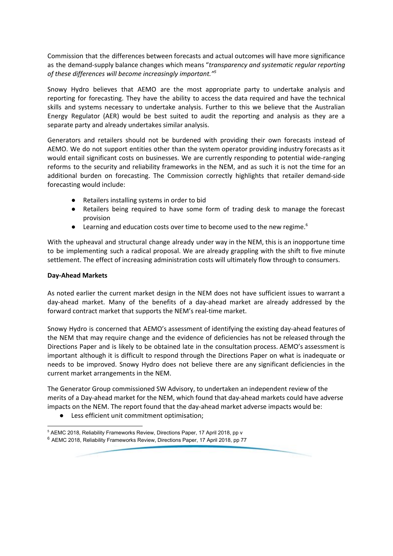Commission that the differences between forecasts and actual outcomes will have more significance as the demand-supply balance changes which means "*transparency and systematic regular reporting of these differences will become increasingly important." 5*

Snowy Hydro believes that AEMO are the most appropriate party to undertake analysis and reporting for forecasting. They have the ability to access the data required and have the technical skills and systems necessary to undertake analysis. Further to this we believe that the Australian Energy Regulator (AER) would be best suited to audit the reporting and analysis as they are a separate party and already undertakes similar analysis.

Generators and retailers should not be burdened with providing their own forecasts instead of AEMO. We do not support entities other than the system operator providing industry forecasts as it would entail significant costs on businesses. We are currently responding to potential wide-ranging reforms to the security and reliability frameworks in the NEM, and as such it is not the time for an additional burden on forecasting. The Commission correctly highlights that retailer demand-side forecasting would include:

- Retailers installing systems in order to bid
- Retailers being required to have some form of trading desk to manage the forecast provision
- $\bullet$  Learning and education costs over time to become used to the new regime.<sup>6</sup>

With the upheaval and structural change already under way in the NEM, this is an inopportune time to be implementing such a radical proposal. We are already grappling with the shift to five minute settlement. The effect of increasing administration costs will ultimately flow through to consumers.

#### **Day-Ahead Markets**

As noted earlier the current market design in the NEM does not have sufficient issues to warrant a day-ahead market. Many of the benefits of a day-ahead market are already addressed by the forward contract market that supports the NEM's real-time market.

Snowy Hydro is concerned that AEMO's assessment of identifying the existing day-ahead features of the NEM that may require change and the evidence of deficiencies has not be released through the Directions Paper and is likely to be obtained late in the consultation process. AEMO's assessment is important although it is difficult to respond through the Directions Paper on what is inadequate or needs to be improved. Snowy Hydro does not believe there are any significant deficiencies in the current market arrangements in the NEM.

The Generator Group commissioned SW Advisory, to undertaken an independent review of the merits of a Day-ahead market for the NEM, which found that day-ahead markets could have adverse impacts on the NEM. The report found that the day-ahead market adverse impacts would be:

● Less efficient unit commitment optimisation;

<sup>&</sup>lt;sup>5</sup> AEMC 2018, Reliability Frameworks Review, Directions Paper, 17 April 2018, pp v  $6$  AEMC 2018, Reliability Frameworks Review, Directions Paper, 17 April 2018, pp 77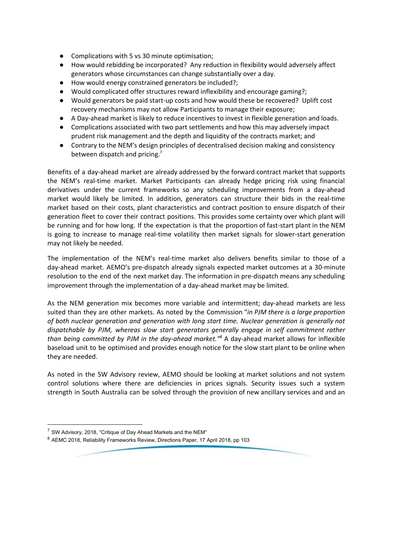- Complications with 5 vs 30 minute optimisation;
- How would rebidding be incorporated? Any reduction in flexibility would adversely affect generators whose circumstances can change substantially over a day.
- How would energy constrained generators be included?;
- Would complicated offer structures reward inflexibility and encourage gaming?;
- Would generators be paid start-up costs and how would these be recovered? Uplift cost recovery mechanisms may not allow Participants to manage their exposure;
- A Day-ahead market is likely to reduce incentives to invest in flexible generation and loads.
- Complications associated with two part settlements and how this may adversely impact prudent risk management and the depth and liquidity of the contracts market; and
- Contrary to the NEM's design principles of decentralised decision making and consistency between dispatch and pricing.<sup>7</sup>

Benefits of a day-ahead market are already addressed by the forward contract market that supports the NEM's real-time market. Market Participants can already hedge pricing risk using financial derivatives under the current frameworks so any scheduling improvements from a day-ahead market would likely be limited. In addition, generators can structure their bids in the real-time market based on their costs, plant characteristics and contract position to ensure dispatch of their generation fleet to cover their contract positions. This provides some certainty over which plant will be running and for how long. If the expectation is that the proportion of fast-start plant in the NEM is going to increase to manage real-time volatility then market signals for slower-start generation may not likely be needed.

The implementation of the NEM's real-time market also delivers benefits similar to those of a day-ahead market. AEMO's pre-dispatch already signals expected market outcomes at a 30-minute resolution to the end of the next market day. The information in pre-dispatch means any scheduling improvement through the implementation of a day-ahead market may be limited.

As the NEM generation mix becomes more variable and intermittent; day-ahead markets are less suited than they are other markets. As noted by the Commission "*in PJM there is a large proportion of both nuclear generation and generation with long start time. Nuclear generation is generally not dispatchable by PJM, whereas slow start generators generally engage in self commitment rather than being committed by PJM in the day-ahead market."* A day-ahead market allows for inflexible *8* baseload unit to be optimised and provides enough notice for the slow start plant to be online when they are needed.

As noted in the SW Advisory review, AEMO should be looking at market solutions and not system control solutions where there are deficiencies in prices signals. Security issues such a system strength in South Australia can be solved through the provision of new ancillary services and and an

 $7$  SW Advisory, 2018, "Critique of Day Ahead Markets and the NEM"

<sup>&</sup>lt;sup>8</sup> AEMC 2018, Reliability Frameworks Review, Directions Paper, 17 April 2018, pp 103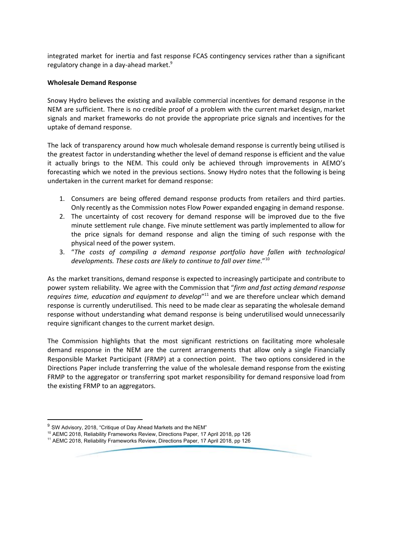integrated market for inertia and fast response FCAS contingency services rather than a significant regulatory change in a day-ahead market. 9

#### **Wholesale Demand Response**

Snowy Hydro believes the existing and available commercial incentives for demand response in the NEM are sufficient. There is no credible proof of a problem with the current market design, market signals and market frameworks do not provide the appropriate price signals and incentives for the uptake of demand response.

The lack of transparency around how much wholesale demand response is currently being utilised is the greatest factor in understanding whether the level of demand response is efficient and the value it actually brings to the NEM. This could only be achieved through improvements in AEMO's forecasting which we noted in the previous sections. Snowy Hydro notes that the following is being undertaken in the current market for demand response:

- 1. Consumers are being offered demand response products from retailers and third parties. Only recently as the Commission notes Flow Power expanded engaging in demand response.
- 2. The uncertainty of cost recovery for demand response will be improved due to the five minute settlement rule change. Five minute settlement was partly implemented to allow for the price signals for demand response and align the timing of such response with the physical need of the power system.
- 3. "*The costs of compiling a demand response portfolio have fallen with technological developments. These costs are likely to continue to fall over time*." 10

As the market transitions, demand response is expected to increasingly participate and contribute to power system reliability. We agree with the Commission that "*firm and fast acting demand response* requires time, education and equipment to develop"<sup>11</sup> and we are therefore unclear which demand response is currently underutilised. This need to be made clear as separating the wholesale demand response without understanding what demand response is being underutilised would unnecessarily require significant changes to the current market design.

The Commission highlights that the most significant restrictions on facilitating more wholesale demand response in the NEM are the current arrangements that allow only a single Financially Responsible Market Participant (FRMP) at a connection point. The two options considered in the Directions Paper include transferring the value of the wholesale demand response from the existing FRMP to the aggregator or transferring spot market responsibility for demand responsive load from the existing FRMP to an aggregators.

<sup>&</sup>lt;sup>9</sup> SW Advisory, 2018, "Critique of Day Ahead Markets and the NEM"

<sup>&</sup>lt;sup>10</sup> AEMC 2018, Reliability Frameworks Review, Directions Paper, 17 April 2018, pp 126

<sup>&</sup>lt;sup>11</sup> AEMC 2018, Reliability Frameworks Review, Directions Paper, 17 April 2018, pp 126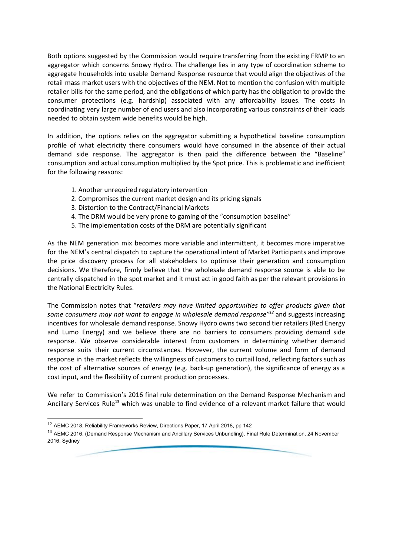Both options suggested by the Commission would require transferring from the existing FRMP to an aggregator which concerns Snowy Hydro. The challenge lies in any type of coordination scheme to aggregate households into usable Demand Response resource that would align the objectives of the retail mass market users with the objectives of the NEM. Not to mention the confusion with multiple retailer bills for the same period, and the obligations of which party has the obligation to provide the consumer protections (e.g. hardship) associated with any affordability issues. The costs in coordinating very large number of end users and also incorporating various constraints of their loads needed to obtain system wide benefits would be high.

In addition, the options relies on the aggregator submitting a hypothetical baseline consumption profile of what electricity there consumers would have consumed in the absence of their actual demand side response. The aggregator is then paid the difference between the "Baseline" consumption and actual consumption multiplied by the Spot price. This is problematic and inefficient for the following reasons:

- 1. Another unrequired regulatory intervention
- 2. Compromises the current market design and its pricing signals
- 3. Distortion to the Contract/Financial Markets
- 4. The DRM would be very prone to gaming of the "consumption baseline"
- 5. The implementation costs of the DRM are potentially significant

As the NEM generation mix becomes more variable and intermittent, it becomes more imperative for the NEM's central dispatch to capture the operational intent of Market Participants and improve the price discovery process for all stakeholders to optimise their generation and consumption decisions. We therefore, firmly believe that the wholesale demand response source is able to be centrally dispatched in the spot market and it must act in good faith as per the relevant provisions in the National Electricity Rules.

The Commission notes that "*retailers may have limited opportunities to offer products given that* some consumers may not want to engage in wholesale demand response<sup>n12</sup> and suggests increasing incentives for wholesale demand response. Snowy Hydro owns two second tier retailers (Red Energy and Lumo Energy) and we believe there are no barriers to consumers providing demand side response. We observe considerable interest from customers in determining whether demand response suits their current circumstances. However, the current volume and form of demand response in the market reflects the willingness of customers to curtail load, reflecting factors such as the cost of alternative sources of energy (e.g. back-up generation), the significance of energy as a cost input, and the flexibility of current production processes.

We refer to Commission's 2016 final rule determination on the Demand Response Mechanism and Ancillary Services Rule<sup>13</sup> which was unable to find evidence of a relevant market failure that would

<sup>12</sup> AEMC 2018, Reliability Frameworks Review, Directions Paper, 17 April 2018, pp 142

<sup>&</sup>lt;sup>13</sup> AEMC 2016, (Demand Response Mechanism and Ancillary Services Unbundling), Final Rule Determination, 24 November 2016, Sydney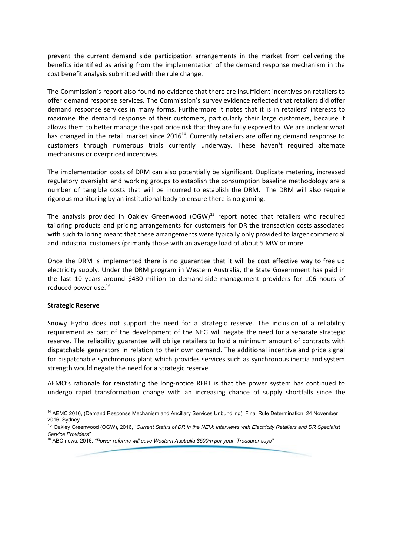prevent the current demand side participation arrangements in the market from delivering the benefits identified as arising from the implementation of the demand response mechanism in the cost benefit analysis submitted with the rule change.

The Commission's report also found no evidence that there are insufficient incentives on retailers to offer demand response services. The Commission's survey evidence reflected that retailers did offer demand response services in many forms. Furthermore it notes that it is in retailers' interests to maximise the demand response of their customers, particularly their large customers, because it allows them to better manage the spot price risk that they are fully exposed to. We are unclear what has changed in the retail market since 2016<sup>14</sup>. Currently retailers are offering demand response to customers through numerous trials currently underway. These haven't required alternate mechanisms or overpriced incentives.

The implementation costs of DRM can also potentially be significant. Duplicate metering, increased regulatory oversight and working groups to establish the consumption baseline methodology are a number of tangible costs that will be incurred to establish the DRM. The DRM will also require rigorous monitoring by an institutional body to ensure there is no gaming.

The analysis provided in Oakley Greenwood (OGW)<sup>15</sup> report noted that retailers who required tailoring products and pricing arrangements for customers for DR the transaction costs associated with such tailoring meant that these arrangements were typically only provided to larger commercial and industrial customers (primarily those with an average load of about 5 MW or more.

Once the DRM is implemented there is no guarantee that it will be cost effective way to free up electricity supply. Under the DRM program in Western Australia, the State Government has paid in the last 10 years around \$430 million to demand-side management providers for 106 hours of reduced power use. 16

#### **Strategic Reserve**

Snowy Hydro does not support the need for a strategic reserve. The inclusion of a reliability requirement as part of the development of the NEG will negate the need for a separate strategic reserve. The reliability guarantee will oblige retailers to hold a minimum amount of contracts with dispatchable generators in relation to their own demand. The additional incentive and price signal for dispatchable synchronous plant which provides services such as synchronous inertia and system strength would negate the need for a strategic reserve.

AEMO's rationale for reinstating the long-notice RERT is that the power system has continued to undergo rapid transformation change with an increasing chance of supply shortfalls since the

<sup>14</sup> AEMC 2016, (Demand Response Mechanism and Ancillary Services Unbundling), Final Rule Determination, 24 November 2016, Sydney

<sup>15</sup> Oakley Greenwood (OGW), 2016, "*Current Status of DR in the NEM: Interviews with Electricity Retailers and DR Specialist Service Providers"*

<sup>16</sup> ABC news, 2016, *"Power reforms will save Western Australia \$500m per year, Treasurer says"*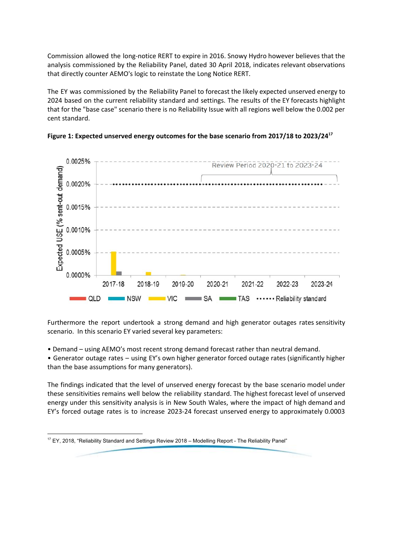Commission allowed the long-notice RERT to expire in 2016. Snowy Hydro however believes that the analysis commissioned by the Reliability Panel, dated 30 April 2018, indicates relevant observations that directly counter AEMO's logic to reinstate the Long Notice RERT.

The EY was commissioned by the Reliability Panel to forecast the likely expected unserved energy to 2024 based on the current reliability standard and settings. The results of the EY forecasts highlight that for the "base case" scenario there is no Reliability Issue with all regions well below the 0.002 per cent standard.





Furthermore the report undertook a strong demand and high generator outages rates sensitivity scenario. In this scenario EY varied several key parameters:

- Demand using AEMO's most recent strong demand forecast rather than neutral demand.
- Generator outage rates using EY's own higher generator forced outage rates (significantly higher than the base assumptions for many generators).

The findings indicated that the level of unserved energy forecast by the base scenario model under these sensitivities remains well below the reliability standard. The highest forecast level of unserved energy under this sensitivity analysis is in New South Wales, where the impact of high demand and EY's forced outage rates is to increase 2023-24 forecast unserved energy to approximately 0.0003

<sup>&</sup>lt;sup>17</sup> EY, 2018, "Reliability Standard and Settings Review 2018 - Modelling Report - The Reliability Panel"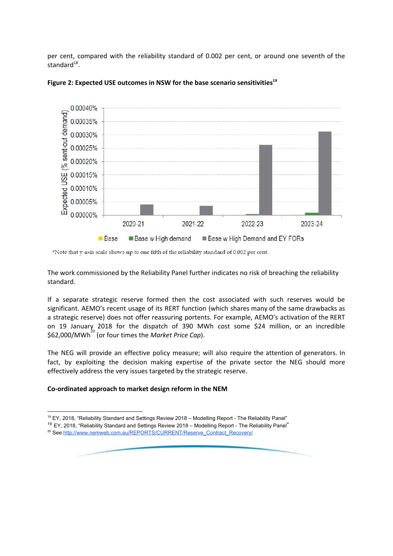per cent, compared with the reliability standard of 0.002 per cent, or around one seventh of the standard $^{18}$ .



# **Figure 2: Expected USE outcomes in NSW for the base scenario sensitivities 19**

\*Note that y-axis scale shows up to one fifth of the reliability standard of 0.002 per cent.

The work commissioned by the Reliability Panel further indicates no risk of breaching the reliability standard.

If a separate strategic reserve formed then the cost associated with such reserves would be significant. AEMO's recent usage of its RERT function (which shares many of the same drawbacks as a strategic reserve) does not offer reassuring portents. For example, AEMO's activation of the RERT on 19 January 2018 for the dispatch of 390 MWh cost some \$24 million, or an incredible \$62,000/MWh<sup>20</sup> (or four times the *Market Price Cap*).

The NEG will provide an effective policy measure; will also require the attention of generators. In fact, by exploiting the decision making expertise of the private sector the NEG should more effectively address the very issues targeted by the strategic reserve.

# **Co-ordinated approach to market design reform in the NEM**

<sup>&</sup>lt;sup>18</sup> EY, 2018, "Reliability Standard and Settings Review 2018 - Modelling Report - The Reliability Panel"

<sup>&</sup>lt;sup>19</sup> EY, 2018, "Reliability Standard and Settings Review 2018 - Modelling Report - The Reliability Panel"

<sup>&</sup>lt;sup>20</sup> See [http://www.nemweb.com.au/REPORTS/CURRENT/Reserve\\_Contract\\_Recovery/](http://www.nemweb.com.au/REPORTS/CURRENT/Reserve_Contract_Recovery/)